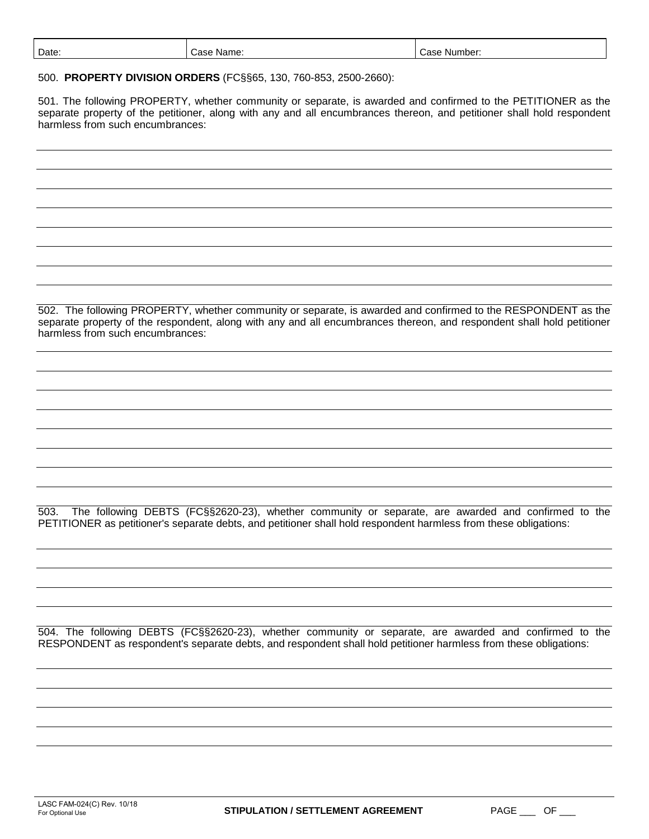| Date | Name.<br>$-0.0$<br>$\overline{\phantom{a}}$<br>-- | mber<br>Nu<br>. ה ה |
|------|---------------------------------------------------|---------------------|
|      |                                                   |                     |

500. **PROPERTY DIVISION ORDERS** (FC§§65, 130, 760-853, 2500-2660):

501. The following PROPERTY, whether community or separate, is awarded and confirmed to the PETITIONER as the separate property of the petitioner, along with any and all encumbrances thereon, and petitioner shall hold respondent harmless from such encumbrances:

502. The following PROPERTY, whether community or separate, is awarded and confirmed to the RESPONDENT as the separate property of the respondent, along with any and all encumbrances thereon, and respondent shall hold petitioner harmless from such encumbrances:

503. The following DEBTS (FC§§2620-23), whether community or separate, are awarded and confirmed to the PETITIONER as petitioner's separate debts, and petitioner shall hold respondent harmless from these obligations:

504. The following DEBTS (FC§§2620-23), whether community or separate, are awarded and confirmed to the RESPONDENT as respondent's separate debts, and respondent shall hold petitioner harmless from these obligations: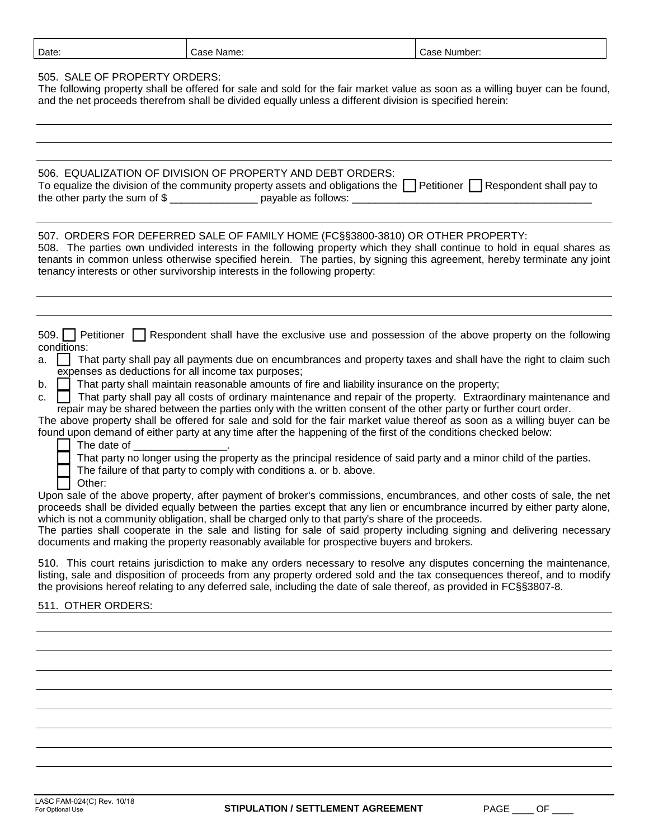| Date<br>Name:<br>Case | Number:<br>∴ase |
|-----------------------|-----------------|
|-----------------------|-----------------|

## 505. SALE OF PROPERTY ORDERS:

The following property shall be offered for sale and sold for the fair market value as soon as a willing buyer can be found, and the net proceeds therefrom shall be divided equally unless a different division is specified herein:

|                                 | 506. EQUALIZATION OF DIVISION OF PROPERTY AND DEBT ORDERS:                                                                     |  |
|---------------------------------|--------------------------------------------------------------------------------------------------------------------------------|--|
|                                 | To equalize the division of the community property assets and obligations the $\Box$ Petitioner $\Box$ Respondent shall pay to |  |
| the other party the sum of $\S$ | payable as follows:                                                                                                            |  |

## 507. ORDERS FOR DEFERRED SALE OF FAMILY HOME (FC§§3800-3810) OR OTHER PROPERTY:

508. The parties own undivided interests in the following property which they shall continue to hold in equal shares as tenants in common unless otherwise specified herein. The parties, by signing this agreement, hereby terminate any joint tenancy interests or other survivorship interests in the following property:

| 509. Petitioner Respondent shall have the exclusive use and possession of the above property on the following |  |  |  |  |  |  |  |  |  |  |  |
|---------------------------------------------------------------------------------------------------------------|--|--|--|--|--|--|--|--|--|--|--|
| conditions:                                                                                                   |  |  |  |  |  |  |  |  |  |  |  |

| a. That party shall pay all payments due on encumbrances and property taxes and shall have the right to claim such |
|--------------------------------------------------------------------------------------------------------------------|
| expenses as deductions for all income tax purposes;                                                                |

b. **That party shall maintain reasonable amounts of fire and liability insurance on the property;** 

c. That party shall pay all costs of ordinary maintenance and repair of the property. Extraordinary maintenance and repair may be shared between the parties only with the written consent of the other party or further court order.

The above property shall be offered for sale and sold for the fair market value thereof as soon as a willing buyer can be found upon demand of either party at any time after the happening of the first of the conditions checked below:

The date of \_\_\_\_\_\_\_\_\_\_\_\_\_\_\_\_.

That party no longer using the property as the principal residence of said party and a minor child of the parties.

The failure of that party to comply with conditions a. or b. above.

Other:

Upon sale of the above property, after payment of broker's commissions, encumbrances, and other costs of sale, the net proceeds shall be divided equally between the parties except that any lien or encumbrance incurred by either party alone, which is not a community obligation, shall be charged only to that party's share of the proceeds.

The parties shall cooperate in the sale and listing for sale of said property including signing and delivering necessary documents and making the property reasonably available for prospective buyers and brokers.

510. This court retains jurisdiction to make any orders necessary to resolve any disputes concerning the maintenance, listing, sale and disposition of proceeds from any property ordered sold and the tax consequences thereof, and to modify the provisions hereof relating to any deferred sale, including the date of sale thereof, as provided in FC§§3807-8.

## 511. OTHER ORDERS: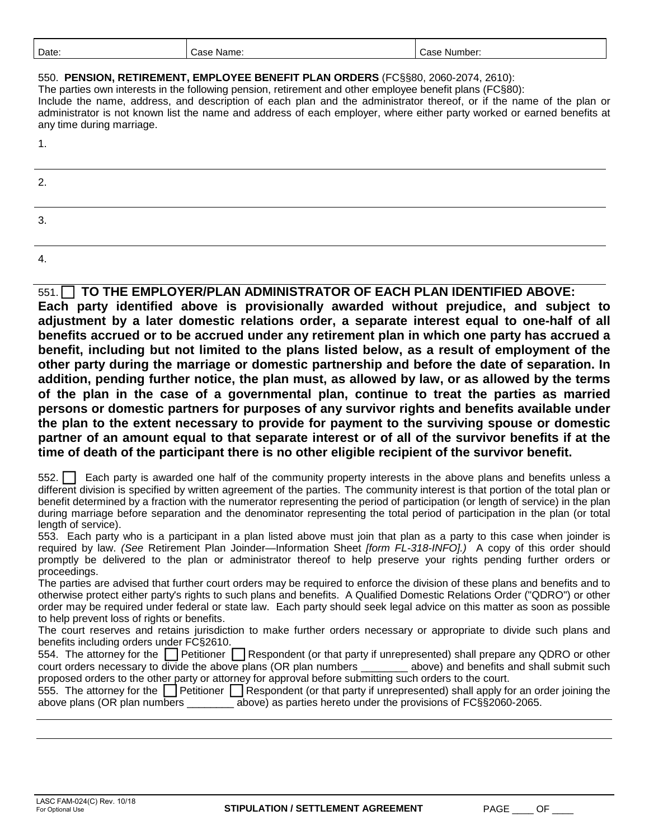| Date | Name.<br>Case. | Number:<br>. ה ה<br>$\cdot$<br>-<br>$\sim$ $\sim$ |
|------|----------------|---------------------------------------------------|
|      |                |                                                   |

550. **PENSION, RETIREMENT, EMPLOYEE BENEFIT PLAN ORDERS** (FC§§80, 2060-2074, 2610):

The parties own interests in the following pension, retirement and other employee benefit plans (FC§80);

Include the name, address, and description of each plan and the administrator thereof, or if the name of the plan or administrator is not known list the name and address of each employer, where either party worked or earned benefits at any time during marriage.

1.

| 2<br><u>.</u> |  |  |
|---------------|--|--|
| ີ<br>J.       |  |  |
|               |  |  |

4.

551.  **TO THE EMPLOYER/PLAN ADMINISTRATOR OF EACH PLAN IDENTIFIED ABOVE: Each party identified above is provisionally awarded without prejudice, and subject to adjustment by a later domestic relations order, a separate interest equal to one-half of all benefits accrued or to be accrued under any retirement plan in which one party has accrued a benefit, including but not limited to the plans listed below, as a result of employment of the other party during the marriage or domestic partnership and before the date of separation. In addition, pending further notice, the plan must, as allowed by law, or as allowed by the terms of the plan in the case of a governmental plan, continue to treat the parties as married persons or domestic partners for purposes of any survivor rights and benefits available under the plan to the extent necessary to provide for payment to the surviving spouse or domestic partner of an amount equal to that separate interest or of all of the survivor benefits if at the time of death of the participant there is no other eligible recipient of the survivor benefit.**

552. Each party is awarded one half of the community property interests in the above plans and benefits unless a different division is specified by written agreement of the parties. The community interest is that portion of the total plan or benefit determined by a fraction with the numerator representing the period of participation (or length of service) in the plan during marriage before separation and the denominator representing the total period of participation in the plan (or total length of service).

553. Each party who is a participant in a plan listed above must join that plan as a party to this case when joinder is required by law. *(See* Retirement Plan Joinder—Information Sheet *[form FL-318-INFO].)* A copy of this order should promptly be delivered to the plan or administrator thereof to help preserve your rights pending further orders or proceedings.

The parties are advised that further court orders may be required to enforce the division of these plans and benefits and to otherwise protect either party's rights to such plans and benefits. A Qualified Domestic Relations Order ("QDRO") or other order may be required under federal or state law. Each party should seek legal advice on this matter as soon as possible to help prevent loss of rights or benefits.

The court reserves and retains jurisdiction to make further orders necessary or appropriate to divide such plans and benefits including orders under FC§2610.

|                                                                                                         | 554. The attorney for the Petitioner Respondent (or that party if unrepresented) shall prepare any QDRO or other |
|---------------------------------------------------------------------------------------------------------|------------------------------------------------------------------------------------------------------------------|
| court orders necessary to divide the above plans (OR plan numbers                                       | above) and benefits and shall submit such                                                                        |
| proposed orders to the other party or attorney for approval before submitting such orders to the court. |                                                                                                                  |

|                              |  | 555. The attorney for the Settioner Settioner Respondent (or that party if unrepresented) shall apply for an order joining the |
|------------------------------|--|--------------------------------------------------------------------------------------------------------------------------------|
| above plans (OR plan numbers |  | above) as parties hereto under the provisions of FC§§2060-2065.                                                                |